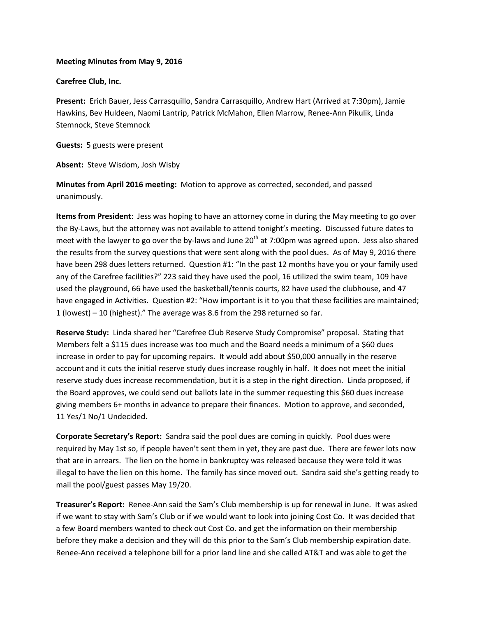## **Meeting Minutes from May 9, 2016**

## **Carefree Club, Inc.**

**Present:** Erich Bauer, Jess Carrasquillo, Sandra Carrasquillo, Andrew Hart (Arrived at 7:30pm), Jamie Hawkins, Bev Huldeen, Naomi Lantrip, Patrick McMahon, Ellen Marrow, Renee-Ann Pikulik, Linda Stemnock, Steve Stemnock

**Guests:** 5 guests were present

**Absent:** Steve Wisdom, Josh Wisby

**Minutes from April 2016 meeting:** Motion to approve as corrected, seconded, and passed unanimously.

**Items from President**: Jess was hoping to have an attorney come in during the May meeting to go over the By-Laws, but the attorney was not available to attend tonight's meeting. Discussed future dates to meet with the lawyer to go over the by-laws and June  $20<sup>th</sup>$  at 7:00pm was agreed upon. Jess also shared the results from the survey questions that were sent along with the pool dues. As of May 9, 2016 there have been 298 dues letters returned. Question #1: "In the past 12 months have you or your family used any of the Carefree facilities?" 223 said they have used the pool, 16 utilized the swim team, 109 have used the playground, 66 have used the basketball/tennis courts, 82 have used the clubhouse, and 47 have engaged in Activities. Question #2: "How important is it to you that these facilities are maintained; 1 (lowest) – 10 (highest)." The average was 8.6 from the 298 returned so far.

**Reserve Study:** Linda shared her "Carefree Club Reserve Study Compromise" proposal. Stating that Members felt a \$115 dues increase was too much and the Board needs a minimum of a \$60 dues increase in order to pay for upcoming repairs.It would add about \$50,000 annually in the reserve account and it cuts the initial reserve study dues increase roughly in half. It does not meet the initial reserve study dues increase recommendation, but it is a step in the right direction. Linda proposed, if the Board approves, we could send out ballots late in the summer requesting this \$60 dues increase giving members 6+ months in advance to prepare their finances. Motion to approve, and seconded, 11 Yes/1 No/1 Undecided.

**Corporate Secretary's Report:** Sandra said the pool dues are coming in quickly. Pool dues were required by May 1st so, if people haven't sent them in yet, they are past due. There are fewer lots now that are in arrears. The lien on the home in bankruptcy was released because they were told it was illegal to have the lien on this home. The family has since moved out. Sandra said she's getting ready to mail the pool/guest passes May 19/20.

**Treasurer's Report:** Renee-Ann said the Sam's Club membership is up for renewal in June. It was asked if we want to stay with Sam's Club or if we would want to look into joining Cost Co. It was decided that a few Board members wanted to check out Cost Co. and get the information on their membership before they make a decision and they will do this prior to the Sam's Club membership expiration date. Renee-Ann received a telephone bill for a prior land line and she called AT&T and was able to get the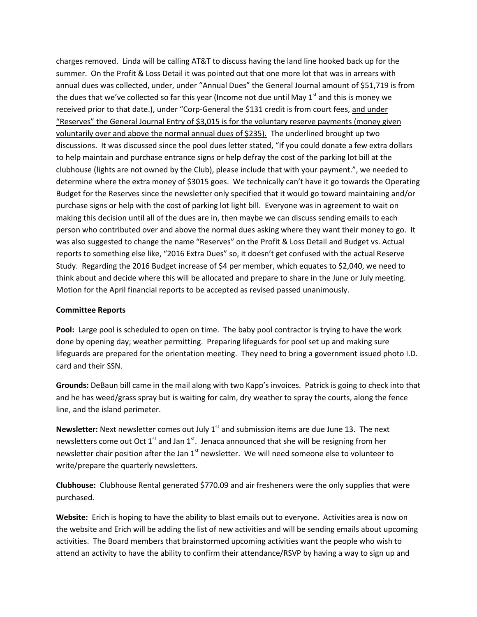charges removed. Linda will be calling AT&T to discuss having the land line hooked back up for the summer. On the Profit & Loss Detail it was pointed out that one more lot that was in arrears with annual dues was collected, under, under "Annual Dues" the General Journal amount of \$51,719 is from the dues that we've collected so far this year (Income not due until May  $1<sup>st</sup>$  and this is money we received prior to that date.), under "Corp-General the \$131 credit is from court fees, and under "Reserves" the General Journal Entry of \$3,015 is for the voluntary reserve payments (money given voluntarily over and above the normal annual dues of \$235). The underlined brought up two discussions. It was discussed since the pool dues letter stated, "If you could donate a few extra dollars to help maintain and purchase entrance signs or help defray the cost of the parking lot bill at the clubhouse (lights are not owned by the Club), please include that with your payment.", we needed to determine where the extra money of \$3015 goes. We technically can't have it go towards the Operating Budget for the Reserves since the newsletter only specified that it would go toward maintaining and/or purchase signs or help with the cost of parking lot light bill. Everyone was in agreement to wait on making this decision until all of the dues are in, then maybe we can discuss sending emails to each person who contributed over and above the normal dues asking where they want their money to go. It was also suggested to change the name "Reserves" on the Profit & Loss Detail and Budget vs. Actual reports to something else like, "2016 Extra Dues" so, it doesn't get confused with the actual Reserve Study.Regarding the 2016 Budget increase of \$4 per member, which equates to \$2,040, we need to think about and decide where this will be allocated and prepare to share in the June or July meeting. Motion for the April financial reports to be accepted as revised passed unanimously.

## **Committee Reports**

**Pool:** Large pool is scheduled to open on time. The baby pool contractor is trying to have the work done by opening day; weather permitting. Preparing lifeguards for pool set up and making sure lifeguards are prepared for the orientation meeting. They need to bring a government issued photo I.D. card and their SSN.

**Grounds:** DeBaun bill came in the mail along with two Kapp's invoices. Patrick is going to check into that and he has weed/grass spray but is waiting for calm, dry weather to spray the courts, along the fence line, and the island perimeter.

Newsletter: Next newsletter comes out July 1<sup>st</sup> and submission items are due June 13. The next newsletters come out Oct  $1^{st}$  and Jan  $1^{st}$ . Jenaca announced that she will be resigning from her newsletter chair position after the Jan 1<sup>st</sup> newsletter. We will need someone else to volunteer to write/prepare the quarterly newsletters.

**Clubhouse:** Clubhouse Rental generated \$770.09 and air fresheners were the only supplies that were purchased.

**Website:** Erich is hoping to have the ability to blast emails out to everyone. Activities area is now on the website and Erich will be adding the list of new activities and will be sending emails about upcoming activities. The Board members that brainstormed upcoming activities want the people who wish to attend an activity to have the ability to confirm their attendance/RSVP by having a way to sign up and